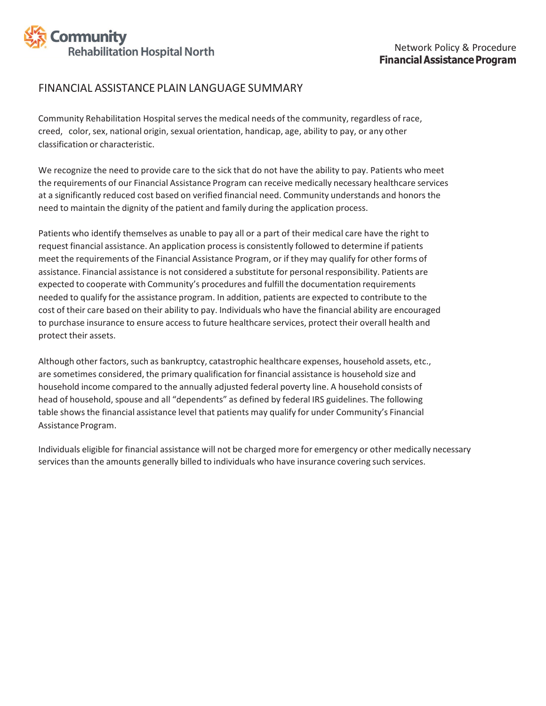

## FINANCIAL ASSISTANCE PLAIN LANGUAGE SUMMARY

Community Rehabilitation Hospital serves the medical needs of the community, regardless of race, creed, color,sex, national origin, sexual orientation, handicap, age, ability to pay, or any other classification or characteristic.

We recognize the need to provide care to the sick that do not have the ability to pay. Patients who meet the requirements of our Financial Assistance Program can receive medically necessary healthcare services at a significantly reduced cost based on verified financial need. Community understands and honors the need to maintain the dignity of the patient and family during the application process.

Patients who identify themselves as unable to pay all or a part of their medical care have the right to request financial assistance. An application processis consistently followed to determine if patients meet the requirements of the Financial Assistance Program, or if they may qualify for other forms of assistance. Financial assistance is not considered a substitute for personal responsibility. Patients are expected to cooperate with Community's procedures and fulfill the documentation requirements needed to qualify for the assistance program. In addition, patients are expected to contribute to the cost of their care based on their ability to pay. Individuals who have the financial ability are encouraged to purchase insurance to ensure access to future healthcare services, protect their overall health and protect their assets.

Although other factors, such as bankruptcy, catastrophic healthcare expenses, household assets, etc., are sometimes considered, the primary qualification for financial assistance is household size and household income compared to the annually adjusted federal poverty line. A household consists of head of household, spouse and all "dependents" as defined by federal IRS guidelines. The following table shows the financial assistance level that patients may qualify for under Community's Financial Assistance Program.

Individuals eligible for financial assistance will not be charged more for emergency or other medically necessary servicesthan the amounts generally billed to individuals who have insurance covering such services.